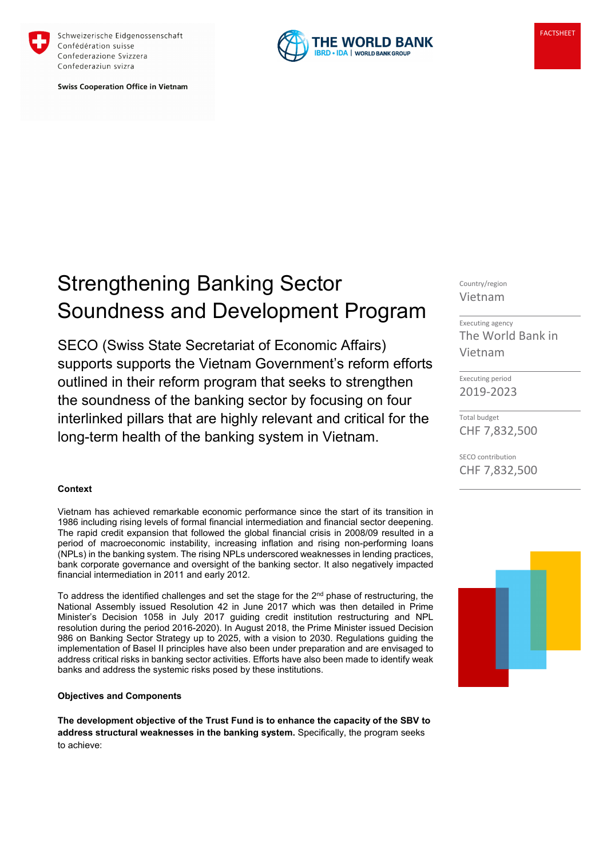

Schweizerische Eidgenossenschaft Confédération suisse Confederazione Svizzera Confederaziun svizra

**Swiss Cooperation Office in Vietnam** 



# Strengthening Banking Sector Soundness and Development Program

SECO (Swiss State Secretariat of Economic Affairs) supports supports the Vietnam Government's reform efforts outlined in their reform program that seeks to strengthen the soundness of the banking sector by focusing on four interlinked pillars that are highly relevant and critical for the long-term health of the banking system in Vietnam.

### **Context**

Vietnam has achieved remarkable economic performance since the start of its transition in 1986 including rising levels of formal financial intermediation and financial sector deepening. The rapid credit expansion that followed the global financial crisis in 2008/09 resulted in a period of macroeconomic instability, increasing inflation and rising non-performing loans (NPLs) in the banking system. The rising NPLs underscored weaknesses in lending practices, bank corporate governance and oversight of the banking sector. It also negatively impacted financial intermediation in 2011 and early 2012.

To address the identified challenges and set the stage for the 2<sup>nd</sup> phase of restructuring, the National Assembly issued Resolution 42 in June 2017 which was then detailed in Prime Minister's Decision 1058 in July 2017 guiding credit institution restructuring and NPL resolution during the period 2016-2020). In August 2018, the Prime Minister issued Decision 986 on Banking Sector Strategy up to 2025, with a vision to 2030. Regulations guiding the implementation of Basel II principles have also been under preparation and are envisaged to address critical risks in banking sector activities. Efforts have also been made to identify weak banks and address the systemic risks posed by these institutions.

## **Objectives and Components**

**The development objective of the Trust Fund is to enhance the capacity of the SBV to address structural weaknesses in the banking system.** Specifically, the program seeks to achieve:

Country/region Vietnam

Executing agency The World Bank in Vietnam

Executing period 2019-2023

Total budget CHF 7,832,500

SECO contribution CHF 7,832,500